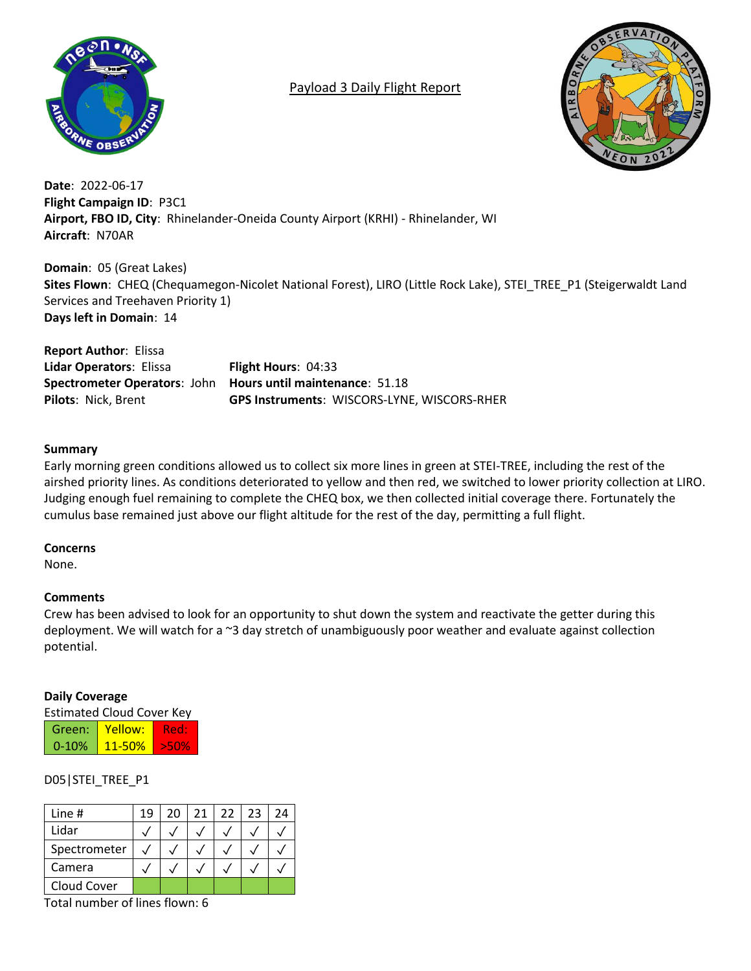

## Payload 3 Daily Flight Report



**Date**: 2022-06-17 **Flight Campaign ID**: P3C1 **Airport, FBO ID, City**: Rhinelander-Oneida County Airport (KRHI) - Rhinelander, WI **Aircraft**: N70AR

**Domain**: 05 (Great Lakes) **Sites Flown**: CHEQ (Chequamegon-Nicolet National Forest), LIRO (Little Rock Lake), STEI\_TREE\_P1 (Steigerwaldt Land Services and Treehaven Priority 1) **Days left in Domain**: 14

**Report Author**: Elissa **Lidar Operators**: Elissa **Flight Hours**: 04:33 **Spectrometer Operators**: John **Hours until maintenance**: 51.18 **Pilots**: Nick, Brent **GPS Instruments**: WISCORS-LYNE, WISCORS-RHER

## **Summary**

Early morning green conditions allowed us to collect six more lines in green at STEI-TREE, including the rest of the airshed priority lines. As conditions deteriorated to yellow and then red, we switched to lower priority collection at LIRO. Judging enough fuel remaining to complete the CHEQ box, we then collected initial coverage there. Fortunately the cumulus base remained just above our flight altitude for the rest of the day, permitting a full flight.

## **Concerns**

None.

## **Comments**

Crew has been advised to look for an opportunity to shut down the system and reactivate the getter during this deployment. We will watch for a ~3 day stretch of unambiguously poor weather and evaluate against collection potential.

## **Daily Coverage**

Estimated Cloud Cover Key

| Green:    | Yellow:    | 4 F F |
|-----------|------------|-------|
| $0 - 10%$ | $11 - 50%$ |       |

## D05|STEI\_TREE\_P1

| Line #       | 19 | 20 | 21 <sub>1</sub> | 22 | 23 | 24 |
|--------------|----|----|-----------------|----|----|----|
| Lidar        |    |    |                 |    |    |    |
| Spectrometer |    |    |                 |    |    |    |
| Camera       |    |    |                 |    |    |    |
| Cloud Cover  |    |    |                 |    |    |    |

Total number of lines flown: 6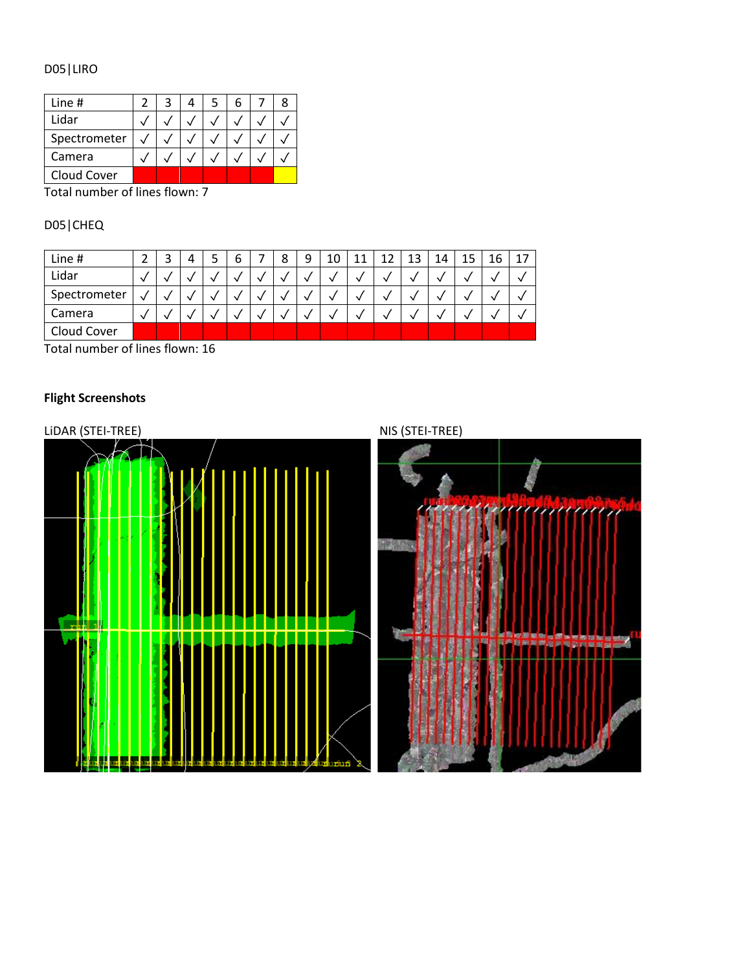# D05|LIRO

| Line #       |  |  |  |  |
|--------------|--|--|--|--|
| Lidar        |  |  |  |  |
| Spectrometer |  |  |  |  |
| Camera       |  |  |  |  |
| Cloud Cover  |  |  |  |  |

Total number of lines flown: 7

# D05|CHEQ

| Line #       | ر | כ | o | 8 | ۵<br>┘ | 10 | 11<br>ᆠᅶ | 1 ว<br>∸∠ | 13 | 14 | 15 | 16 | 17 |
|--------------|---|---|---|---|--------|----|----------|-----------|----|----|----|----|----|
| Lidar        |   |   |   |   |        |    | ◡        |           |    |    |    |    |    |
| Spectrometer |   |   |   |   |        | √  | √        |           |    |    |    |    |    |
| Camera       |   |   |   |   |        |    |          |           |    |    |    |    |    |
| Cloud Cover  |   |   |   |   |        |    |          |           |    |    |    |    |    |

Total number of lines flown: 16

# **Flight Screenshots**

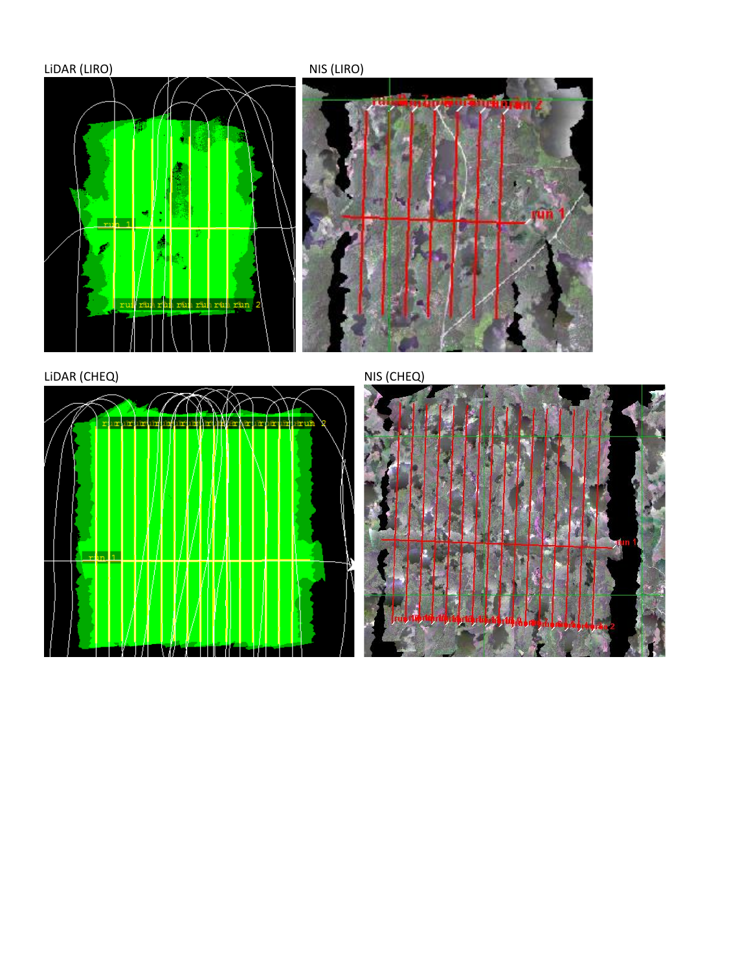

LIDAR (CHEQ) NIS (CHEQ)



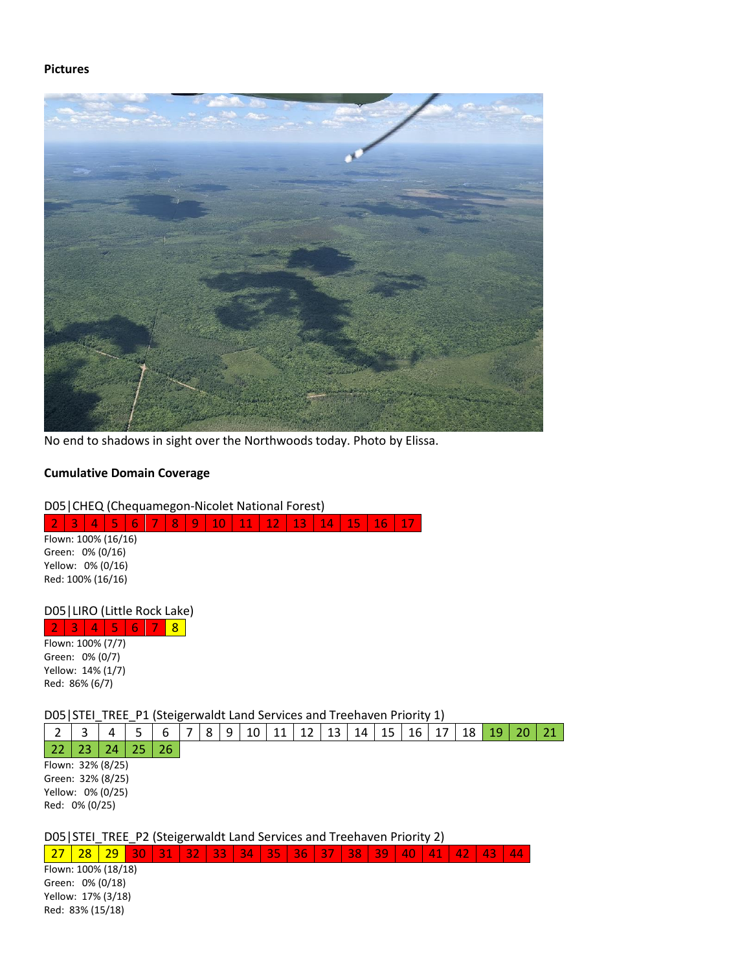#### **Pictures**



No end to shadows in sight over the Northwoods today. Photo by Elissa.

#### **Cumulative Domain Coverage**

#### D05|CHEQ (Chequamegon-Nicolet National Forest)

2 3 4 5 6 7 8 9 10 11 12 13 14 15 16 17

Flown: 100% (16/16) Green: 0% (0/16) Yellow: 0% (0/16) Red: 100% (16/16)

D05|LIRO (Little Rock Lake)

3 4 5 6 7 8 Flown: 100% (7/7) Green: 0% (0/7) Yellow: 14% (1/7)

Red: 86% (6/7)

D05|STEI\_TREE\_P1 (Steigerwaldt Land Services and Treehaven Priority 1)

|  |            |  |  |  |  |  |  |  | $2 \mid 3 \mid 4 \mid 5 \mid 6 \mid 7 \mid 8 \mid 9 \mid 10 \mid 11 \mid 12 \mid 13 \mid 14 \mid 15 \mid 16 \mid 17 \mid 18 \mid 19 \mid 20 \mid 21$ |  |
|--|------------|--|--|--|--|--|--|--|------------------------------------------------------------------------------------------------------------------------------------------------------|--|
|  | $\sqrt{2}$ |  |  |  |  |  |  |  |                                                                                                                                                      |  |

22 23 24 25 26 Flown: 32% (8/25) Green: 32% (8/25) Yellow: 0% (0/25) Red: 0% (0/25)

D05|STEI\_TREE\_P2 (Steigerwaldt Land Services and Treehaven Priority 2)

27 28 29 30 31 32 33 34 35 36 37 38 39 40 41 42 43 44

Flown: 100% (18/18) Green: 0% (0/18) Yellow: 17% (3/18) Red: 83% (15/18)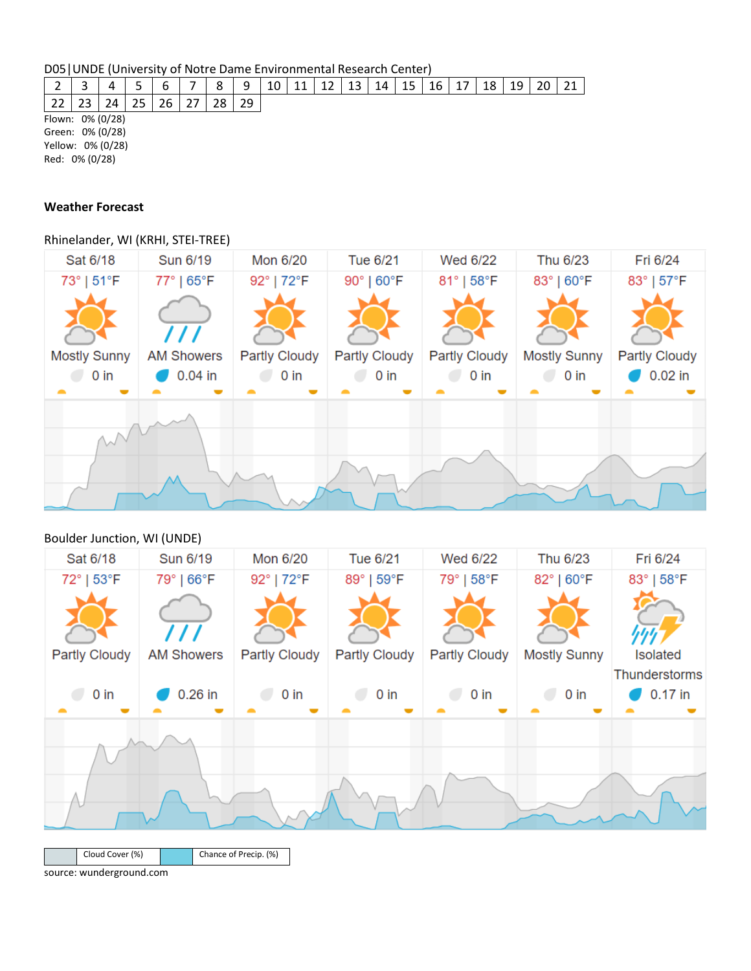D05|UNDE (University of Notre Dame Environmental Research Center)

| ∸                 |                  |           |  |    |  | 8  | 9  | 10 | 11 | 12 | 13 | 14 | 15 | 16 | 18 | 19 |  | 21 |
|-------------------|------------------|-----------|--|----|--|----|----|----|----|----|----|----|----|----|----|----|--|----|
| 22                |                  | <u>າ4</u> |  | 26 |  | 28 | 29 |    |    |    |    |    |    |    |    |    |  |    |
| Flown: 0% (0/28)  |                  |           |  |    |  |    |    |    |    |    |    |    |    |    |    |    |  |    |
|                   | Green: 0% (0/28) |           |  |    |  |    |    |    |    |    |    |    |    |    |    |    |  |    |
| Yellow: 0% (0/28) |                  |           |  |    |  |    |    |    |    |    |    |    |    |    |    |    |  |    |
| Red: 0% (0/28)    |                  |           |  |    |  |    |    |    |    |    |    |    |    |    |    |    |  |    |

### **Weather Forecast**

Rhinelander, WI (KRHI, STEI-TREE)



## Boulder Junction, WI (UNDE)

| Sat 6/18        | Sun 6/19          | Mon 6/20              | Tue 6/21             | Wed 6/22             | Thu 6/23            | Fri 6/24                   |
|-----------------|-------------------|-----------------------|----------------------|----------------------|---------------------|----------------------------|
| 72°   53°F      | 79°   66°F        | 92°   72°F            | 89°   59°F           | 79°   58°F           | 82°   60°F          | 83°   58°F                 |
|                 |                   |                       |                      |                      |                     |                            |
| Partly Cloudy   | <b>AM Showers</b> | <b>Partly Cloudy</b>  | <b>Partly Cloudy</b> | <b>Partly Cloudy</b> | <b>Mostly Sunny</b> | Isolated                   |
| $0$ in          | $0.26$ in         | $0$ in                | $0$ in               | $0$ in               | $0$ in              | Thunderstorms<br>$0.17$ in |
|                 |                   |                       |                      |                      |                     |                            |
| Cloud Cover (%) |                   | Chance of Precip. (%) |                      |                      |                     |                            |

source: wunderground.com